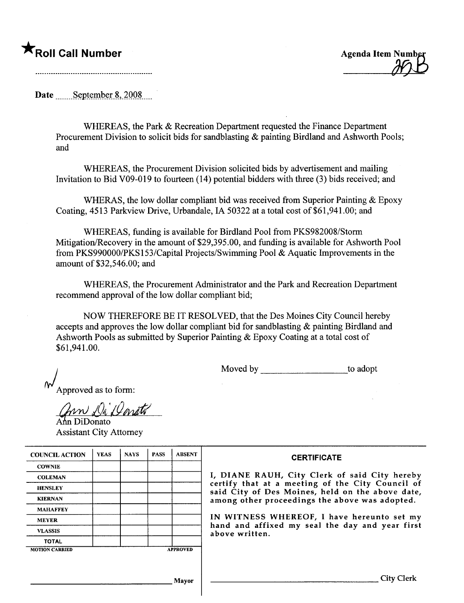## $\bigstar$ Roll Call Number  $\bigstar$

Date  $S$  eptember 8, 2008

WHEREAS, the Park & Recreation Department requested the Finance Department Procurement Division to solicit bids for sandblasting & painting Birdland and Ashworth Pools; and

WHEREAS, the Procurement Division solicited bids by advertisement and mailing Invitation to Bid V09-019 to foureen (14) potential bidders with three (3) bids received; and

WHERAS, the low dollar compliant bid was received from Superior Painting & Epoxy Coating, 4513 Parkview Drive, Urbandale, IA 50322 at a total cost of \$61,941.00; and

WHEREAS, fuding is available for Birdland Pool from PKS982008/Storm Mitigation/Recovery in the amount of \$29,395.00, and funding is available for Ashworth Pool from PKS990000/PKS153/Capital Projects/Swimming Pool & Aquatic Improvements in the amount of \$32,546.00; and

WHEREAS, the Procurement Administrator and the Park and Recreation Deparment recommend approval of the low dollar compliant bid;

NOW THEREFORE BE IT RESOLVED, that the Des Moines City Council hereby accepts and approves the low dollar compliant bid for sandblasting & painting Birdland and Ashworth Pools as submitted by Superior Painting & Epoxy Coating at a total cost of \$61,941.00.

Moved by to adopt

Approved as to form:

m Di Darato

In DiDonato Assistant City Attorney

| <b>COUNCIL ACTION</b> | <b>YEAS</b> | <b>NAYS</b> | <b>PASS</b> | <b>ABSENT</b>   | <b>CERTIFICATE</b>                                                                                   |
|-----------------------|-------------|-------------|-------------|-----------------|------------------------------------------------------------------------------------------------------|
| <b>COWNIE</b>         |             |             |             |                 |                                                                                                      |
| <b>COLEMAN</b>        |             |             |             |                 | I, DIANE RAUH, City Clerk of said City hereby                                                        |
| <b>HENSLEY</b>        |             |             |             |                 | certify that at a meeting of the City Council of<br>said City of Des Moines, held on the above date, |
| <b>KIERNAN</b>        |             |             |             |                 | among other proceedings the above was adopted.                                                       |
| <b>MAHAFFEY</b>       |             |             |             |                 |                                                                                                      |
| <b>MEYER</b>          |             |             |             |                 | IN WITNESS WHEREOF, I have hereunto set my<br>hand and affixed my seal the day and year first        |
| <b>VLASSIS</b>        |             |             |             |                 | above written.                                                                                       |
| <b>TOTAL</b>          |             |             |             |                 |                                                                                                      |
| <b>MOTION CARRIED</b> |             |             |             | <b>APPROVED</b> |                                                                                                      |
|                       |             |             |             |                 |                                                                                                      |
|                       |             |             |             |                 |                                                                                                      |
|                       |             |             |             | Mayor           |                                                                                                      |